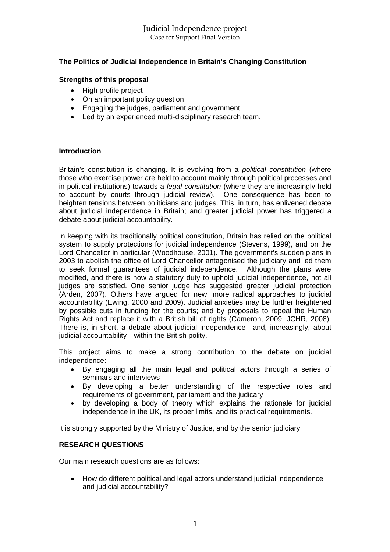# **The Politics of Judicial Independence in Britain's Changing Constitution**

#### **Strengths of this proposal**

- High profile project
- On an important policy question
- Engaging the judges, parliament and government
- Led by an experienced multi-disciplinary research team.

#### **Introduction**

Britain's constitution is changing. It is evolving from a *political constitution* (where those who exercise power are held to account mainly through political processes and in political institutions) towards a *legal constitution* (where they are increasingly held to account by courts through judicial review). One consequence has been to heighten tensions between politicians and judges. This, in turn, has enlivened debate about judicial independence in Britain; and greater judicial power has triggered a debate about judicial accountability.

In keeping with its traditionally political constitution, Britain has relied on the political system to supply protections for judicial independence (Stevens, 1999), and on the Lord Chancellor in particular (Woodhouse, 2001). The government's sudden plans in 2003 to abolish the office of Lord Chancellor antagonised the judiciary and led them to seek formal guarantees of judicial independence. Although the plans were modified, and there is now a statutory duty to uphold judicial independence, not all judges are satisfied. One senior judge has suggested greater judicial protection (Arden, 2007). Others have argued for new, more radical approaches to judicial accountability (Ewing, 2000 and 2009). Judicial anxieties may be further heightened by possible cuts in funding for the courts; and by proposals to repeal the Human Rights Act and replace it with a British bill of rights (Cameron, 2009; JCHR, 2008). There is, in short, a debate about judicial independence—and, increasingly, about judicial accountability—within the British polity.

This project aims to make a strong contribution to the debate on judicial independence:

- By engaging all the main legal and political actors through a series of seminars and interviews
- By developing a better understanding of the respective roles and requirements of government, parliament and the judicary
- by developing a body of theory which explains the rationale for judicial independence in the UK, its proper limits, and its practical requirements.

It is strongly supported by the Ministry of Justice, and by the senior judiciary.

## **RESEARCH QUESTIONS**

Our main research questions are as follows:

 How do different political and legal actors understand judicial independence and judicial accountability?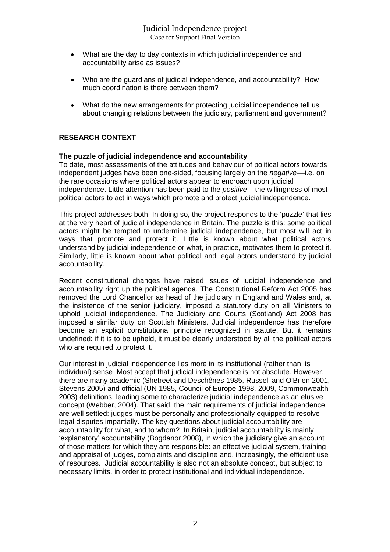- What are the day to day contexts in which judicial independence and accountability arise as issues?
- Who are the guardians of judicial independence, and accountability? How much coordination is there between them?
- What do the new arrangements for protecting judicial independence tell us about changing relations between the judiciary, parliament and government?

# **RESEARCH CONTEXT**

#### **The puzzle of judicial independence and accountability**

To date, most assessments of the attitudes and behaviour of political actors towards independent judges have been one-sided, focusing largely on the *negative*––i.e. on the rare occasions where political actors appear to encroach upon judicial independence. Little attention has been paid to the *positive––*the willingness of most political actors to act in ways which promote and protect judicial independence.

This project addresses both. In doing so, the project responds to the 'puzzle' that lies at the very heart of judicial independence in Britain. The puzzle is this: some political actors might be tempted to undermine judicial independence, but most will act in ways that promote and protect it. Little is known about what political actors understand by judicial independence or what, in practice, motivates them to protect it. Similarly, little is known about what political and legal actors understand by judicial accountability.

Recent constitutional changes have raised issues of judicial independence and accountability right up the political agenda. The Constitutional Reform Act 2005 has removed the Lord Chancellor as head of the judiciary in England and Wales and, at the insistence of the senior judiciary, imposed a statutory duty on all Ministers to uphold judicial independence. The Judiciary and Courts (Scotland) Act 2008 has imposed a similar duty on Scottish Ministers. Judicial independence has therefore become an explicit constitutional principle recognized in statute. But it remains undefined: if it is to be upheld, it must be clearly understood by all the political actors who are required to protect it.

Our interest in judicial independence lies more in its institutional (rather than its individual) sense Most accept that judicial independence is not absolute. However, there are many academic (Shetreet and Deschênes 1985, Russell and O'Brien 2001, Stevens 2005) and official (UN 1985, Council of Europe 1998, 2009, Commonwealth 2003) definitions, leading some to characterize judicial independence as an elusive concept (Webber, 2004). That said, the main requirements of judicial independence are well settled: judges must be personally and professionally equipped to resolve legal disputes impartially. The key questions about judicial accountability are accountability for what, and to whom? In Britain, judicial accountability is mainly 'explanatory' accountability (Bogdanor 2008), in which the judiciary give an account of those matters for which they are responsible: an effective judicial system, training and appraisal of judges, complaints and discipline and, increasingly, the efficient use of resources. Judicial accountability is also not an absolute concept, but subject to necessary limits, in order to protect institutional and individual independence.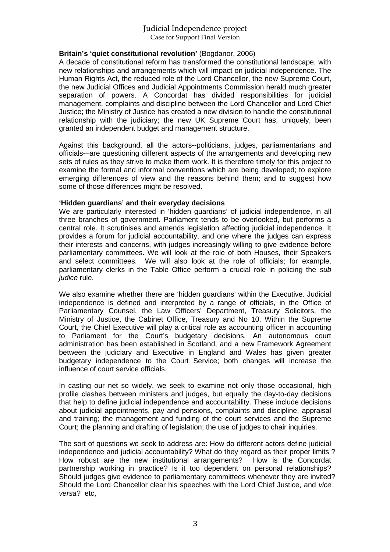# Judicial Independence project Case for Support Final Version

## **Britain's 'quiet constitutional revolution'** (Bogdanor, 2006)

A decade of constitutional reform has transformed the constitutional landscape, with new relationships and arrangements which will impact on judicial independence. The Human Rights Act, the reduced role of the Lord Chancellor, the new Supreme Court, the new Judicial Offices and Judicial Appointments Commission herald much greater separation of powers. A Concordat has divided responsibilities for judicial management, complaints and discipline between the Lord Chancellor and Lord Chief Justice; the Ministry of Justice has created a new division to handle the constitutional relationship with the judiciary; the new UK Supreme Court has, uniquely, been granted an independent budget and management structure.

Against this background, all the actors--politicians, judges, parliamentarians and officials-–are questioning different aspects of the arrangements and developing new sets of rules as they strive to make them work. It is therefore timely for this project to examine the formal and informal conventions which are being developed; to explore emerging differences of view and the reasons behind them; and to suggest how some of those differences might be resolved.

## **'Hidden guardians' and their everyday decisions**

We are particularly interested in 'hidden guardians' of judicial independence, in all three branches of government. Parliament tends to be overlooked, but performs a central role. It scrutinises and amends legislation affecting judicial independence. It provides a forum for judicial accountability, and one where the judges can express their interests and concerns, with judges increasingly willing to give evidence before parliamentary committees. We will look at the role of both Houses, their Speakers and select committees. We will also look at the role of officials; for example, parliamentary clerks in the Table Office perform a crucial role in policing the *sub judice* rule.

We also examine whether there are 'hidden guardians' within the Executive. Judicial independence is defined and interpreted by a range of officials, in the Office of Parliamentary Counsel, the Law Officers' Department, Treasury Solicitors, the Ministry of Justice, the Cabinet Office, Treasury and No 10. Within the Supreme Court, the Chief Executive will play a critical role as accounting officer in accounting to Parliament for the Court's budgetary decisions. An autonomous court administration has been established in Scotland, and a new Framework Agreement between the judiciary and Executive in England and Wales has given greater budgetary independence to the Court Service; both changes will increase the influence of court service officials.

In casting our net so widely, we seek to examine not only those occasional, high profile clashes between ministers and judges, but equally the day-to-day decisions that help to define judicial independence and accountability. These include decisions about judicial appointments, pay and pensions, complaints and discipline, appraisal and training; the management and funding of the court services and the Supreme Court; the planning and drafting of legislation; the use of judges to chair inquiries.

The sort of questions we seek to address are: How do different actors define judicial independence and judicial accountability? What do they regard as their proper limits ? How robust are the new institutional arrangements? How is the Concordat partnership working in practice? Is it too dependent on personal relationships? Should judges give evidence to parliamentary committees whenever they are invited? Should the Lord Chancellor clear his speeches with the Lord Chief Justice, and *vice versa*? etc,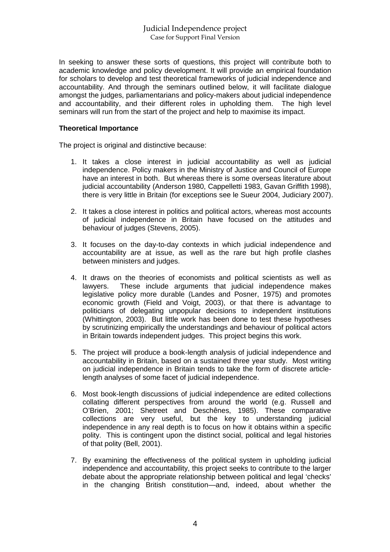In seeking to answer these sorts of questions, this project will contribute both to academic knowledge and policy development. It will provide an empirical foundation for scholars to develop and test theoretical frameworks of judicial independence and accountability. And through the seminars outlined below, it will facilitate dialogue amongst the judges, parliamentarians and policy-makers about judicial independence and accountability, and their different roles in upholding them. The high level seminars will run from the start of the project and help to maximise its impact.

#### **Theoretical Importance**

The project is original and distinctive because:

- 1. It takes a close interest in judicial accountability as well as judicial independence. Policy makers in the Ministry of Justice and Council of Europe have an interest in both. But whereas there is some overseas literature about judicial accountability (Anderson 1980, Cappelletti 1983, Gavan Griffith 1998), there is very little in Britain (for exceptions see le Sueur 2004, Judiciary 2007).
- 2. It takes a close interest in politics and political actors, whereas most accounts of judicial independence in Britain have focused on the attitudes and behaviour of judges (Stevens, 2005).
- 3. It focuses on the day-to-day contexts in which judicial independence and accountability are at issue, as well as the rare but high profile clashes between ministers and judges.
- 4. It draws on the theories of economists and political scientists as well as lawyers. These include arguments that judicial independence makes legislative policy more durable (Landes and Posner, 1975) and promotes economic growth (Field and Voigt, 2003), or that there is advantage to politicians of delegating unpopular decisions to independent institutions (Whittington, 2003). But little work has been done to test these hypotheses by scrutinizing empirically the understandings and behaviour of political actors in Britain towards independent judges. This project begins this work.
- 5. The project will produce a book-length analysis of judicial independence and accountability in Britain, based on a sustained three year study. Most writing on judicial independence in Britain tends to take the form of discrete articlelength analyses of some facet of judicial independence.
- 6. Most book-length discussions of judicial independence are edited collections collating different perspectives from around the world (e.g. Russell and O'Brien, 2001; Shetreet and Deschênes, 1985). These comparative collections are very useful, but the key to understanding judicial independence in any real depth is to focus on how it obtains within a specific polity. This is contingent upon the distinct social, political and legal histories of that polity (Bell, 2001).
- 7. By examining the effectiveness of the political system in upholding judicial independence and accountability, this project seeks to contribute to the larger debate about the appropriate relationship between political and legal 'checks' in the changing British constitution—and, indeed, about whether the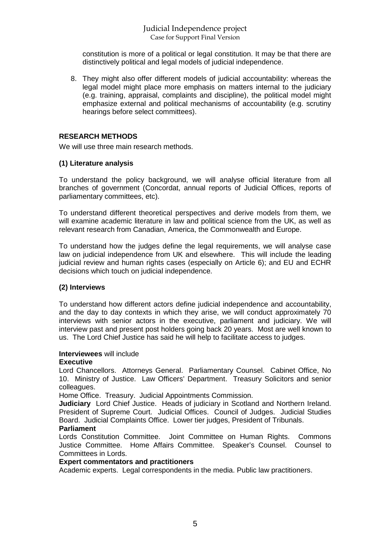# Judicial Independence project Case for Support Final Version

constitution is more of a political or legal constitution. It may be that there are distinctively political and legal models of judicial independence.

8. They might also offer different models of judicial accountability: whereas the legal model might place more emphasis on matters internal to the judiciary (e.g. training, appraisal, complaints and discipline), the political model might emphasize external and political mechanisms of accountability (e.g. scrutiny hearings before select committees).

# **RESEARCH METHODS**

We will use three main research methods.

## **(1) Literature analysis**

To understand the policy background, we will analyse official literature from all branches of government (Concordat, annual reports of Judicial Offices, reports of parliamentary committees, etc).

To understand different theoretical perspectives and derive models from them, we will examine academic literature in law and political science from the UK, as well as relevant research from Canadian, America, the Commonwealth and Europe.

To understand how the judges define the legal requirements, we will analyse case law on judicial independence from UK and elsewhere. This will include the leading judicial review and human rights cases (especially on Article 6); and EU and ECHR decisions which touch on judicial independence.

## **(2) Interviews**

To understand how different actors define judicial independence and accountability, and the day to day contexts in which they arise, we will conduct approximately 70 interviews with senior actors in the executive, parliament and judiciary. We will interview past and present post holders going back 20 years. Most are well known to us. The Lord Chief Justice has said he will help to facilitate access to judges.

## **Interviewees** will include

#### **Executive**

Lord Chancellors. Attorneys General. Parliamentary Counsel. Cabinet Office, No 10. Ministry of Justice. Law Officers' Department. Treasury Solicitors and senior colleagues.

Home Office. Treasury. Judicial Appointments Commission.

**Judiciary** Lord Chief Justice. Heads of judiciary in Scotland and Northern Ireland. President of Supreme Court. Judicial Offices. Council of Judges. Judicial Studies Board. Judicial Complaints Office. Lower tier judges, President of Tribunals.

## **Parliament**

Lords Constitution Committee. Joint Committee on Human Rights. Commons Justice Committee. Home Affairs Committee. Speaker's Counsel. Counsel to Committees in Lords.

## **Expert commentators and practitioners**

Academic experts. Legal correspondents in the media. Public law practitioners.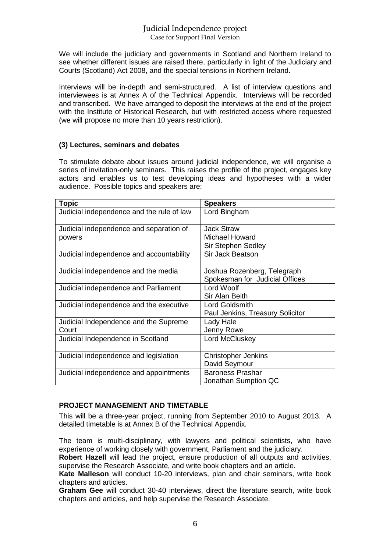We will include the judiciary and governments in Scotland and Northern Ireland to see whether different issues are raised there, particularly in light of the Judiciary and Courts (Scotland) Act 2008, and the special tensions in Northern Ireland.

Interviews will be in-depth and semi-structured. A list of interview questions and interviewees is at Annex A of the Technical Appendix. Interviews will be recorded and transcribed. We have arranged to deposit the interviews at the end of the project with the Institute of Historical Research, but with restricted access where requested (we will propose no more than 10 years restriction).

## **(3) Lectures, seminars and debates**

To stimulate debate about issues around judicial independence, we will organise a series of invitation-only seminars. This raises the profile of the project, engages key actors and enables us to test developing ideas and hypotheses with a wider audience. Possible topics and speakers are:

| <b>Topic</b>                              | <b>Speakers</b>                  |
|-------------------------------------------|----------------------------------|
| Judicial independence and the rule of law | Lord Bingham                     |
| Judicial independence and separation of   | Jack Straw                       |
| powers                                    | Michael Howard                   |
|                                           | Sir Stephen Sedley               |
| Judicial independence and accountability  | Sir Jack Beatson                 |
| Judicial independence and the media       | Joshua Rozenberg, Telegraph      |
|                                           | Spokesman for Judicial Offices   |
| Judicial independence and Parliament      | Lord Woolf                       |
|                                           | Sir Alan Beith                   |
| Judicial independence and the executive   | Lord Goldsmith                   |
|                                           | Paul Jenkins, Treasury Solicitor |
| Judicial Independence and the Supreme     | Lady Hale                        |
| Court                                     | Jenny Rowe                       |
| Judicial Independence in Scotland         | Lord McCluskey                   |
| Judicial independence and legislation     | <b>Christopher Jenkins</b>       |
|                                           | David Seymour                    |
| Judicial independence and appointments    | <b>Baroness Prashar</b>          |
|                                           | Jonathan Sumption QC             |

# **PROJECT MANAGEMENT AND TIMETABLE**

This will be a three-year project, running from September 2010 to August 2013. A detailed timetable is at Annex B of the Technical Appendix.

The team is multi-disciplinary, with lawyers and political scientists, who have experience of working closely with government, Parliament and the judiciary.

**Robert Hazell** will lead the project, ensure production of all outputs and activities, supervise the Research Associate, and write book chapters and an article.

**Kate Malleson** will conduct 10-20 interviews, plan and chair seminars, write book chapters and articles.

**Graham Gee** will conduct 30-40 interviews, direct the literature search, write book chapters and articles, and help supervise the Research Associate.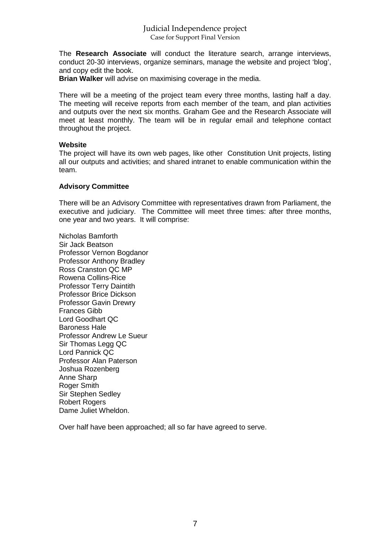# Judicial Independence project Case for Support Final Version

The **Research Associate** will conduct the literature search, arrange interviews, conduct 20-30 interviews, organize seminars, manage the website and project 'blog', and copy edit the book.

**Brian Walker** will advise on maximising coverage in the media.

There will be a meeting of the project team every three months, lasting half a day. The meeting will receive reports from each member of the team, and plan activities and outputs over the next six months. Graham Gee and the Research Associate will meet at least monthly. The team will be in regular email and telephone contact throughout the project.

#### **Website**

The project will have its own web pages, like other Constitution Unit projects, listing all our outputs and activities; and shared intranet to enable communication within the team.

#### **Advisory Committee**

There will be an Advisory Committee with representatives drawn from Parliament, the executive and judiciary. The Committee will meet three times: after three months, one year and two years. It will comprise:

Nicholas Bamforth Sir Jack Beatson Professor Vernon Bogdanor Professor Anthony Bradley Ross Cranston QC MP Rowena Collins-Rice Professor Terry Daintith Professor Brice Dickson Professor Gavin Drewry Frances Gibb Lord Goodhart QC Baroness Hale Professor Andrew Le Sueur Sir Thomas Legg QC Lord Pannick QC Professor Alan Paterson Joshua Rozenberg Anne Sharp Roger Smith Sir Stephen Sedley Robert Rogers Dame Juliet Wheldon.

Over half have been approached; all so far have agreed to serve.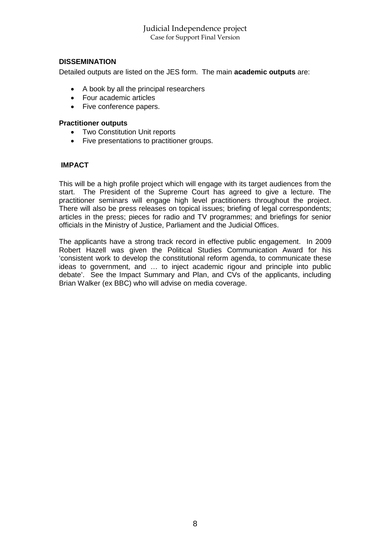# **DISSEMINATION**

Detailed outputs are listed on the JES form. The main **academic outputs** are:

- A book by all the principal researchers
- Four academic articles
- Five conference papers.

## **Practitioner outputs**

- Two Constitution Unit reports
- Five presentations to practitioner groups.

## **IMPACT**

This will be a high profile project which will engage with its target audiences from the start. The President of the Supreme Court has agreed to give a lecture. The practitioner seminars will engage high level practitioners throughout the project. There will also be press releases on topical issues; briefing of legal correspondents; articles in the press; pieces for radio and TV programmes; and briefings for senior officials in the Ministry of Justice, Parliament and the Judicial Offices.

The applicants have a strong track record in effective public engagement. In 2009 Robert Hazell was given the Political Studies Communication Award for his 'consistent work to develop the constitutional reform agenda, to communicate these ideas to government, and … to inject academic rigour and principle into public debate'. See the Impact Summary and Plan, and CVs of the applicants, including Brian Walker (ex BBC) who will advise on media coverage.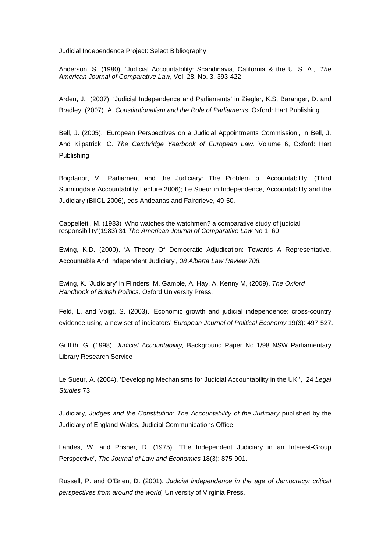#### Judicial Independence Project: Select Bibliography

Anderson. S, (1980), 'Judicial Accountability: Scandinavia, California & the U. S. A.,' *[The](http://www.jstor.org/action/showPublication?journalCode=amerjcomplaw) [American Journal of Comparative Law](http://www.jstor.org/action/showPublication?journalCode=amerjcomplaw)*, Vol. 28, No. 3, 393-422

Arden, J. (2007). 'Judicial Independence and Parliaments' in Ziegler, K.S, Baranger, D. and Bradley, (2007). A. *Constitutionalism and the Role of Parliaments*, Oxford: Hart Publishing

Bell, J. (2005). 'European Perspectives on a Judicial Appointments Commission', in Bell, J. And Kilpatrick, C. *The Cambridge Yearbook of European Law.* Volume 6, Oxford: Hart Publishing

Bogdanor, V. 'Parliament and the Judiciary: The Problem of Accountability, (Third Sunningdale Accountability Lecture 2006); Le Sueur in Independence, Accountability and the Judiciary (BIICL 2006), eds Andeanas and Fairgrieve, 49-50.

Cappelletti, M. (1983) 'Who watches the watchmen? a comparative study of judicial responsibility'(1983) 31 *The American Journal of Comparative Law* No 1; 60

Ewing, K.D. (2000), 'A Theory Of Democratic Adjudication: Towards A Representative, Accountable And Independent Judiciary', *38 Alberta Law Review 708.*

Ewing, K. 'Judiciary' in Flinders, M. Gamble, A. Hay, A. Kenny M, (2009), *The Oxford Handbook of British Politics,* Oxford University Press.

Feld, L. and Voigt, S. (2003). 'Economic growth and judicial independence: cross-country evidence using a new set of indicators' *European Journal of Political Economy* 19(3): 497-527.

Griffith, G. (1998), *Judicial Accountability,* Background Paper No 1/98 NSW Parliamentary Library Research Service

Le Sueur, A. (2004), 'Developing Mechanisms for Judicial Accountability in the UK ', 24 *Legal Studies* 73

Judiciary*, Judges and the Constitution: The Accountability of the Judiciary* published by the Judiciary of England Wales, Judicial Communications Office.

Landes, W. and Posner, R. (1975). 'The Independent Judiciary in an Interest-Group Perspective', *The Journal of Law and Economics* 18(3): 875-901.

Russell, P. and O'Brien, D. (2001), *Judicial independence in the age of democracy: critical perspectives from around the world,* University of Virginia Press.